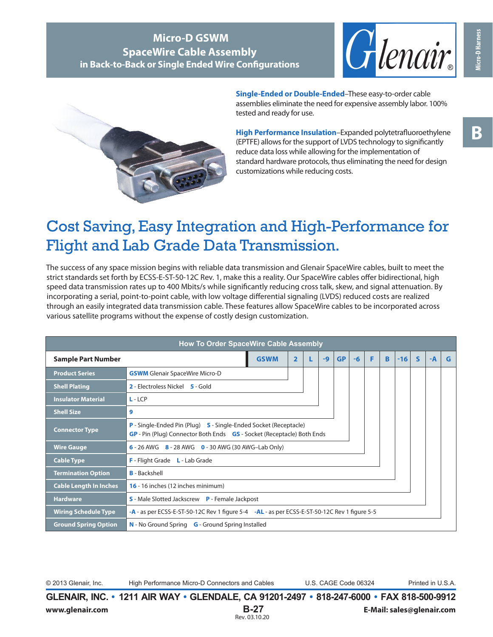**B**

## **Micro-D GSWM SpaceWire Cable Assembly in Back-to-Back or Single Ended Wire Configurations**





**Single-Ended or Double-Ended**–These easy-to-order cable assemblies eliminate the need for expensive assembly labor. 100% tested and ready for use.

**High Performance Insulation**–Expanded polytetrafluoroethylene (EPTFE) allows for the support of LVDS technology to significantly reduce data loss while allowing for the implementation of standard hardware protocols, thus eliminating the need for design customizations while reducing costs.

# Cost Saving, Easy Integration and High-Performance for Flight and Lab Grade Data Transmission.

The success of any space mission begins with reliable data transmission and Glenair SpaceWire cables, built to meet the strict standards set forth by ECSS-E-ST-50-12C Rev. 1, make this a reality. Our SpaceWire cables offer bidirectional, high speed data transmission rates up to 400 Mbits/s while significantly reducing cross talk, skew, and signal attenuation. By incorporating a serial, point-to-point cable, with low voltage differential signaling (LVDS) reduced costs are realized through an easily integrated data transmission cable. These features allow SpaceWire cables to be incorporated across various satellite programs without the expense of costly design customization.

| <b>How To Order SpaceWire Cable Assembly</b> |                                                                                                                                            |             |                |  |      |           |      |   |    |       |              |      |   |
|----------------------------------------------|--------------------------------------------------------------------------------------------------------------------------------------------|-------------|----------------|--|------|-----------|------|---|----|-------|--------------|------|---|
| <b>Sample Part Number</b>                    |                                                                                                                                            | <b>GSWM</b> | $\overline{2}$ |  | $-9$ | <b>GP</b> | $-6$ | F | B. | $-16$ | $\mathsf{s}$ | $-A$ | G |
| <b>Product Series</b>                        | <b>GSWM</b> Glenair SpaceWire Micro-D                                                                                                      |             |                |  |      |           |      |   |    |       |              |      |   |
| <b>Shell Plating</b>                         | 2 - Electroless Nickel 5 - Gold                                                                                                            |             |                |  |      |           |      |   |    |       |              |      |   |
| <b>Insulator Material</b>                    | $L - LCP$                                                                                                                                  |             |                |  |      |           |      |   |    |       |              |      |   |
| <b>Shell Size</b>                            | 9                                                                                                                                          |             |                |  |      |           |      |   |    |       |              |      |   |
| <b>Connector Type</b>                        | P - Single-Ended Pin (Plug) S - Single-Ended Socket (Receptacle)<br>GP - Pin (Plug) Connector Both Ends GS - Socket (Receptacle) Both Ends |             |                |  |      |           |      |   |    |       |              |      |   |
| <b>Wire Gauge</b>                            | 6 - 26 AWG 8 - 28 AWG 0 - 30 AWG (30 AWG-Lab Only)                                                                                         |             |                |  |      |           |      |   |    |       |              |      |   |
| <b>Cable Type</b>                            | F - Flight Grade L - Lab Grade                                                                                                             |             |                |  |      |           |      |   |    |       |              |      |   |
| <b>Termination Option</b>                    | <b>B</b> - Backshell                                                                                                                       |             |                |  |      |           |      |   |    |       |              |      |   |
| <b>Cable Length In Inches</b>                | 16 - 16 inches (12 inches minimum)                                                                                                         |             |                |  |      |           |      |   |    |       |              |      |   |
| <b>Hardware</b>                              | <b>S</b> - Male Slotted Jackscrew <b>P</b> - Female Jackpost                                                                               |             |                |  |      |           |      |   |    |       |              |      |   |
| <b>Wiring Schedule Type</b>                  | -A - as per ECSS-E-ST-50-12C Rev 1 figure 5-4 -AL - as per ECSS-E-ST-50-12C Rev 1 figure 5-5                                               |             |                |  |      |           |      |   |    |       |              |      |   |
| <b>Ground Spring Option</b>                  | N - No Ground Spring G - Ground Spring Installed                                                                                           |             |                |  |      |           |      |   |    |       |              |      |   |

© 2013 Glenair, Inc. High Performance Micro-D Connectors and Cables U.S. CAGE Code 06324 Printed in U.S.A.

**GLENAIR, INC. • 1211 AIR WAY • GLENDALE, CA 91201-2497 • 818-247-6000 • FAX 818-500-9912 www.glenair.com B-27 E-Mail: sales@glenair.com** Rev. 03.10.20